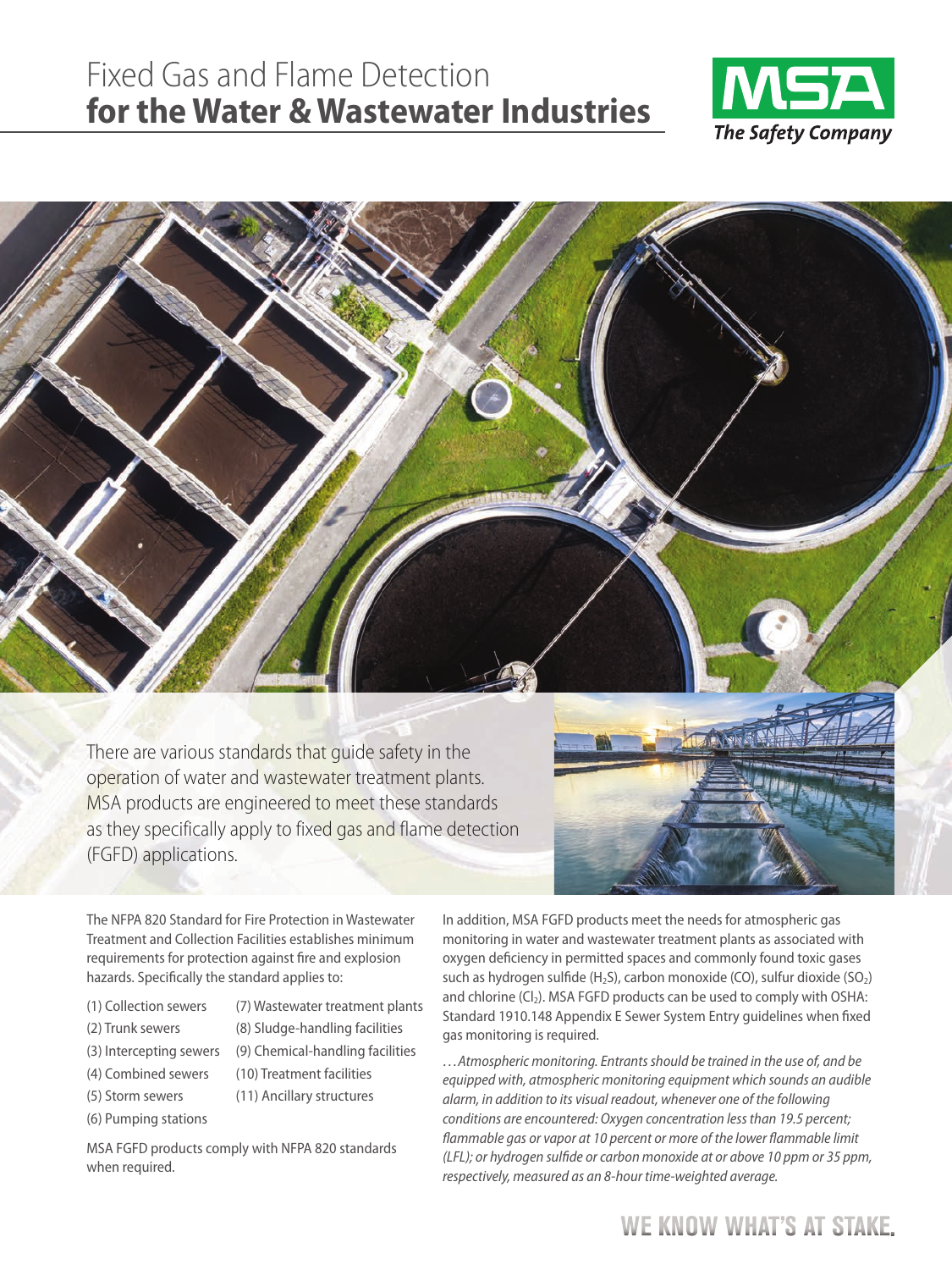# Fixed Gas and Flame Detection **for the Water & Wastewater Industries**





There are various standards that guide safety in the operation of water and wastewater treatment plants. MSA products are engineered to meet these standards as they specifically apply to fixed gas and flame detection (FGFD) applications.



The NFPA 820 Standard for Fire Protection in Wastewater Treatment and Collection Facilities establishes minimum requirements for protection against fire and explosion hazards. Specifically the standard applies to:

- (1) Collection sewers
- (2) Trunk sewers
- (3) Intercepting sewers (8) Sludge-handling facilities (9) Chemical-handling facilities

(10) Treatment facilities (11) Ancillary structures

(7) Wastewater treatment plants

- (4) Combined sewers
- (5) Storm sewers
- (6) Pumping stations

MSA FGFD products comply with NFPA 820 standards when required.

In addition, MSA FGFD products meet the needs for atmospheric gas monitoring in water and wastewater treatment plants as associated with oxygen deficiency in permitted spaces and commonly found toxic gases such as hydrogen sulfide  $(H_2S)$ , carbon monoxide (CO), sulfur dioxide (SO<sub>2</sub>) and chlorine (Cl<sub>2</sub>). MSA FGFD products can be used to comply with OSHA: Standard 1910.148 Appendix E Sewer System Entry guidelines when fixed gas monitoring is required.

…Atmospheric monitoring. Entrants should be trained in the use of, and be equipped with, atmospheric monitoring equipment which sounds an audible alarm, in addition to its visual readout, whenever one of the following conditions are encountered: Oxygen concentration less than 19.5 percent; flammable gas or vapor at 10 percent or more of the lower flammable limit (LFL); or hydrogen sulfide or carbon monoxide at or above 10 ppm or 35 ppm, respectively, measured as an 8-hour time-weighted average.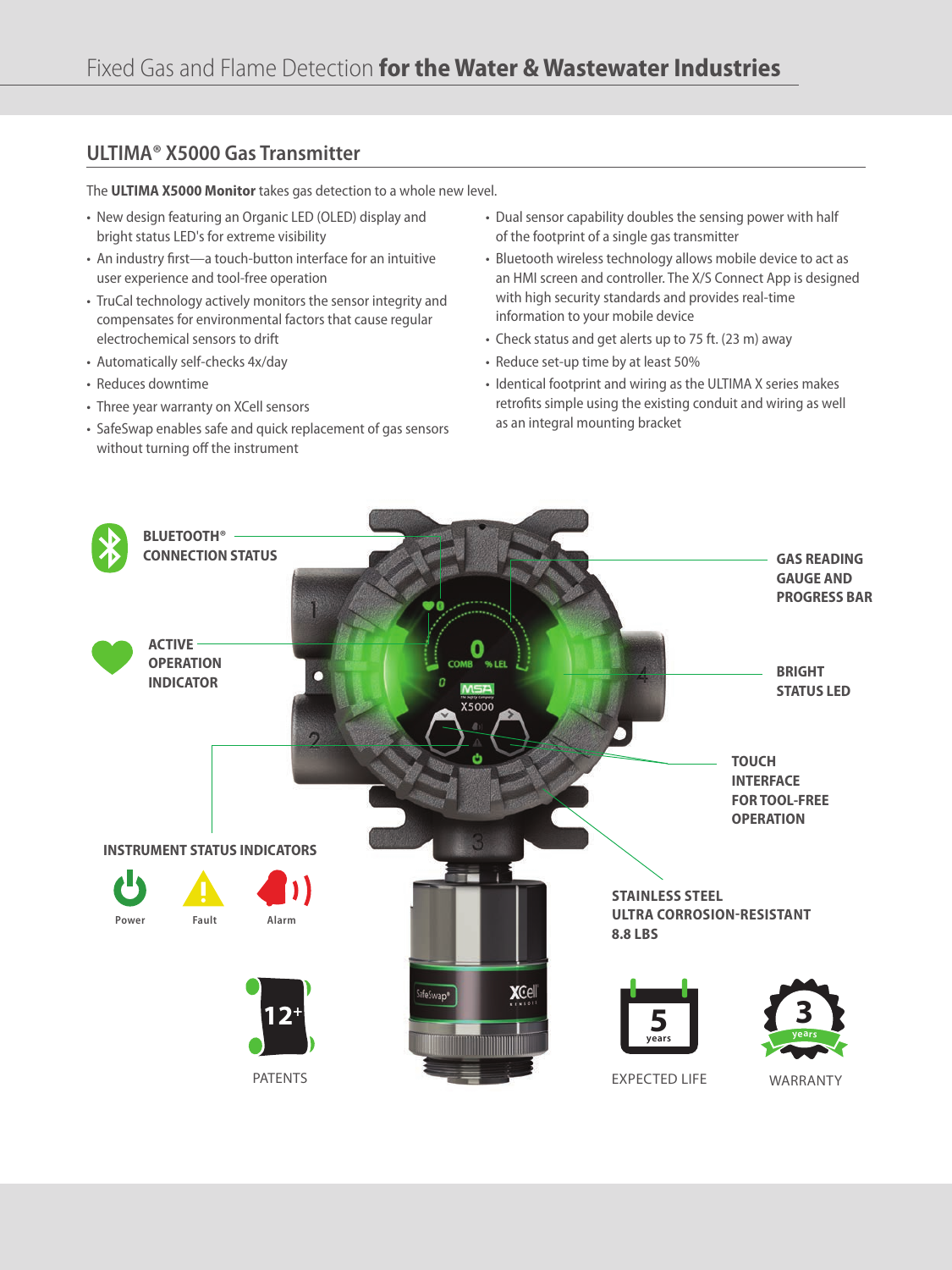### **ULTIMA® X5000 Gas Transmitter**

The **ULTIMA X5000 Monitor** takes gas detection to a whole new level.

- New design featuring an Organic LED (OLED) display and bright status LED's for extreme visibility
- An industry first—a touch-button interface for an intuitive user experience and tool-free operation
- TruCal technology actively monitors the sensor integrity and compensates for environmental factors that cause regular electrochemical sensors to drift
- Automatically self-checks 4x/day
- Reduces downtime
- Three year warranty on XCell sensors
- SafeSwap enables safe and quick replacement of gas sensors without turning off the instrument
- Dual sensor capability doubles the sensing power with half of the footprint of a single gas transmitter
- Bluetooth wireless technology allows mobile device to act as an HMI screen and controller. The X/S Connect App is designed with high security standards and provides real-time information to your mobile device
- Check status and get alerts up to 75 ft. (23 m) away
- Reduce set-up time by at least 50%
- Identical footprint and wiring as the ULTIMA X series makes retrofits simple using the existing conduit and wiring as well as an integral mounting bracket

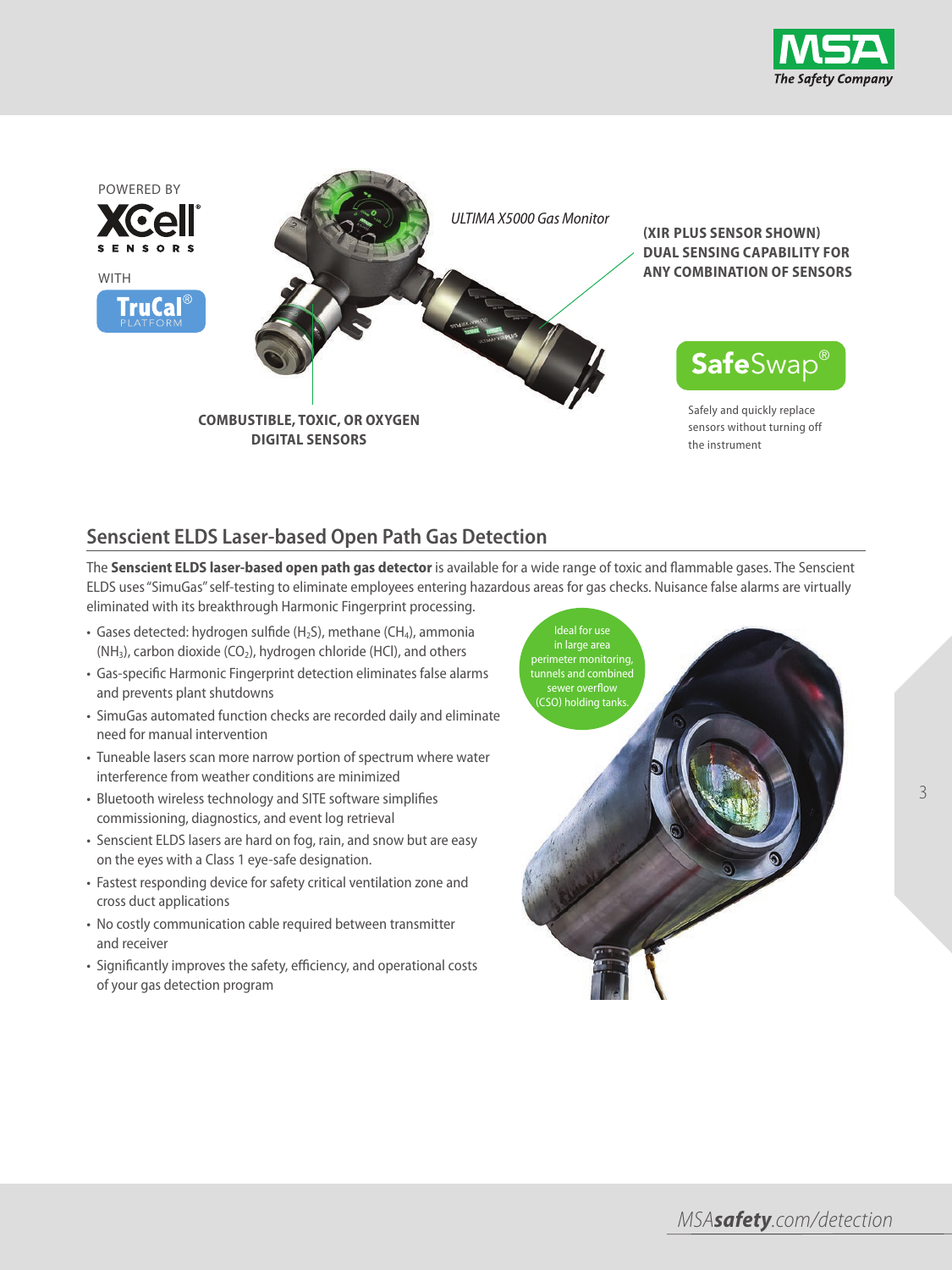



# **Senscient ELDS Laser-based Open Path Gas Detection**

The **Senscient ELDS laser-based open path gas detector** is available for a wide range of toxic and flammable gases. The Senscient ELDS uses "SimuGas" self-testing to eliminate employees entering hazardous areas for gas checks. Nuisance false alarms are virtually eliminated with its breakthrough Harmonic Fingerprint processing.

- Gases detected: hydrogen sulfide ( $H_2S$ ), methane (CH<sub>4</sub>), ammonia (NH<sub>3</sub>), carbon dioxide (CO<sub>2</sub>), hydrogen chloride (HCl), and others
- Gas-specific Harmonic Fingerprint detection eliminates false alarms and prevents plant shutdowns
- SimuGas automated function checks are recorded daily and eliminate need for manual intervention
- Tuneable lasers scan more narrow portion of spectrum where water interference from weather conditions are minimized
- Bluetooth wireless technology and SITE software simplifies commissioning, diagnostics, and event log retrieval
- Senscient ELDS lasers are hard on fog, rain, and snow but are easy on the eyes with a Class 1 eye-safe designation.
- Fastest responding device for safety critical ventilation zone and cross duct applications
- No costly communication cable required between transmitter and receiver
- Significantly improves the safety, efficiency, and operational costs of your gas detection program

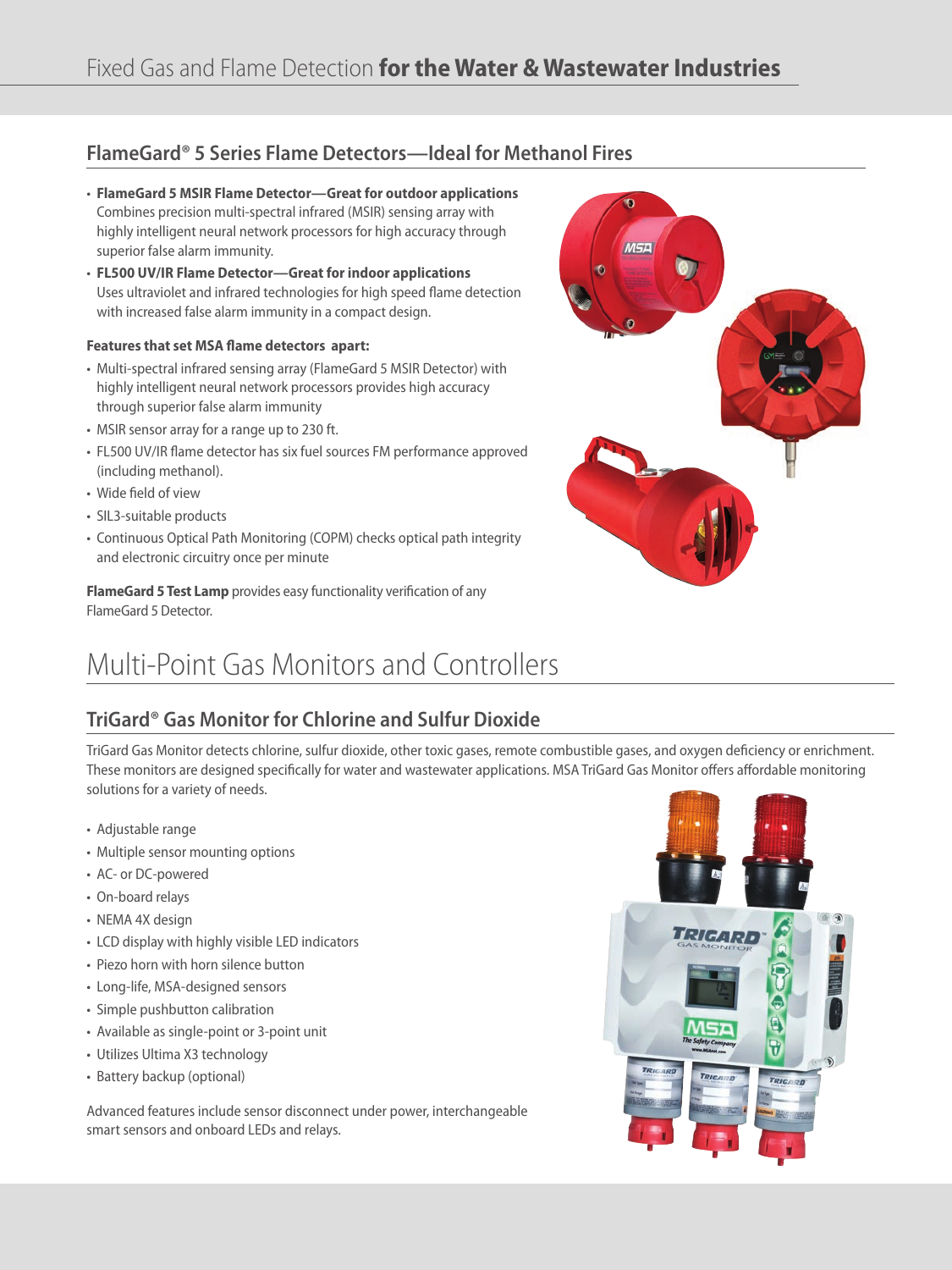## **FlameGard® 5 Series Flame Detectors—Ideal for Methanol Fires**

- **FlameGard 5 MSIr Flame Detector—Great for outdoor applications** Combines precision multi-spectral infrared (MSIR) sensing array with highly intelligent neural network processors for high accuracy through superior false alarm immunity.
- **FL500 UV/Ir Flame Detector—Great for indoor applications** Uses ultraviolet and infrared technologies for high speed flame detection with increased false alarm immunity in a compact design.

#### **Features that set MSA flame detectors apart:**

- Multi-spectral infrared sensing array (FlameGard 5 MSIR Detector) with highly intelligent neural network processors provides high accuracy through superior false alarm immunity
- MSIR sensor array for a range up to 230 ft.
- FL500 UV/IR flame detector has six fuel sources FM performance approved (including methanol).
- Wide field of view
- SIL3-suitable products
- Continuous Optical Path Monitoring (COPM) checks optical path integrity and electronic circuitry once per minute

**FlameGard 5 Test Lamp** provides easy functionality verification of any FlameGard 5 Detector.

# Multi-Point Gas Monitors and Controllers

# **TriGard® Gas Monitor for Chlorine and Sulfur Dioxide**

TriGard Gas Monitor detects chlorine, sulfur dioxide, other toxic gases, remote combustible gases, and oxygen deficiency or enrichment. These monitors are designed specifically for water and wastewater applications. MSA TriGard Gas Monitor offers affordable monitoring solutions for a variety of needs.

- Adjustable range
- Multiple sensor mounting options
- AC- or DC-powered
- On-board relays
- NEMA 4X design
- LCD display with highly visible LED indicators
- Piezo horn with horn silence button
- Long-life, MSA-designed sensors
- Simple pushbutton calibration
- Available as single-point or 3-point unit
- Utilizes Ultima X3 technology
- Battery backup (optional)

Advanced features include sensor disconnect under power, interchangeable smart sensors and onboard LEDs and relays.



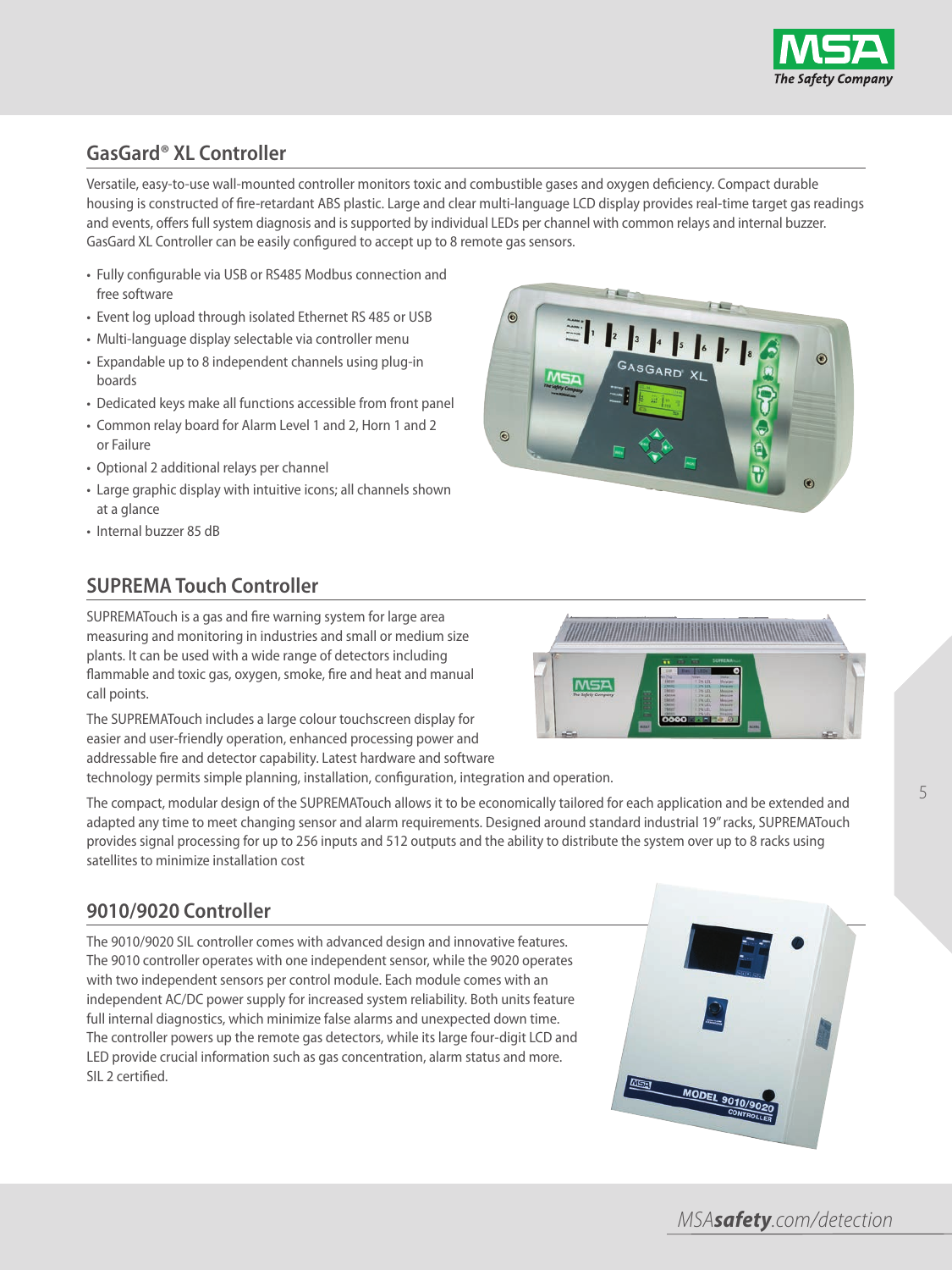

# **GasGard® XL Controller**

Versatile, easy-to-use wall-mounted controller monitors toxic and combustible gases and oxygen deficiency. Compact durable housing is constructed of fire-retardant ABS plastic. Large and clear multi-language LCD display provides real-time target gas readings and events, offers full system diagnosis and is supported by individual LEDs per channel with common relays and internal buzzer. GasGard XL Controller can be easily configured to accept up to 8 remote gas sensors.

- Fully configurable via USB or RS485 Modbus connection and free software
- Event log upload through isolated Ethernet RS 485 or USB
- Multi-language display selectable via controller menu
- Expandable up to 8 independent channels using plug-in boards
- Dedicated keys make all functions accessible from front panel
- Common relay board for Alarm Level 1 and 2, Horn 1 and 2 or Failure
- Optional 2 additional relays per channel
- Large graphic display with intuitive icons; all channels shown at a glance
- Internal buzzer 85 dB

# **SUPREMA Touch Controller**

SUPREMATouch is a gas and fire warning system for large area measuring and monitoring in industries and small or medium size plants. It can be used with a wide range of detectors including flammable and toxic gas, oxygen, smoke, fire and heat and manual call points.

The SUPREMATouch includes a large colour touchscreen display for easier and user-friendly operation, enhanced processing power and addressable fire and detector capability. Latest hardware and software

technology permits simple planning, installation, configuration, integration and operation.

The compact, modular design of the SUPREMATouch allows it to be economically tailored for each application and be extended and adapted any time to meet changing sensor and alarm requirements. Designed around standard industrial 19" racks, SUPREMATouch provides signal processing for up to 256 inputs and 512 outputs and the ability to distribute the system over up to 8 racks using satellites to minimize installation cost

### **9010/9020 Controller**

The 9010/9020 SIL controller comes with advanced design and innovative features. The 9010 controller operates with one independent sensor, while the 9020 operates with two independent sensors per control module. Each module comes with an independent AC/DC power supply for increased system reliability. Both units feature full internal diagnostics, which minimize false alarms and unexpected down time. The controller powers up the remote gas detectors, while its large four-digit LCD and LED provide crucial information such as gas concentration, alarm status and more. SIL 2 certified.





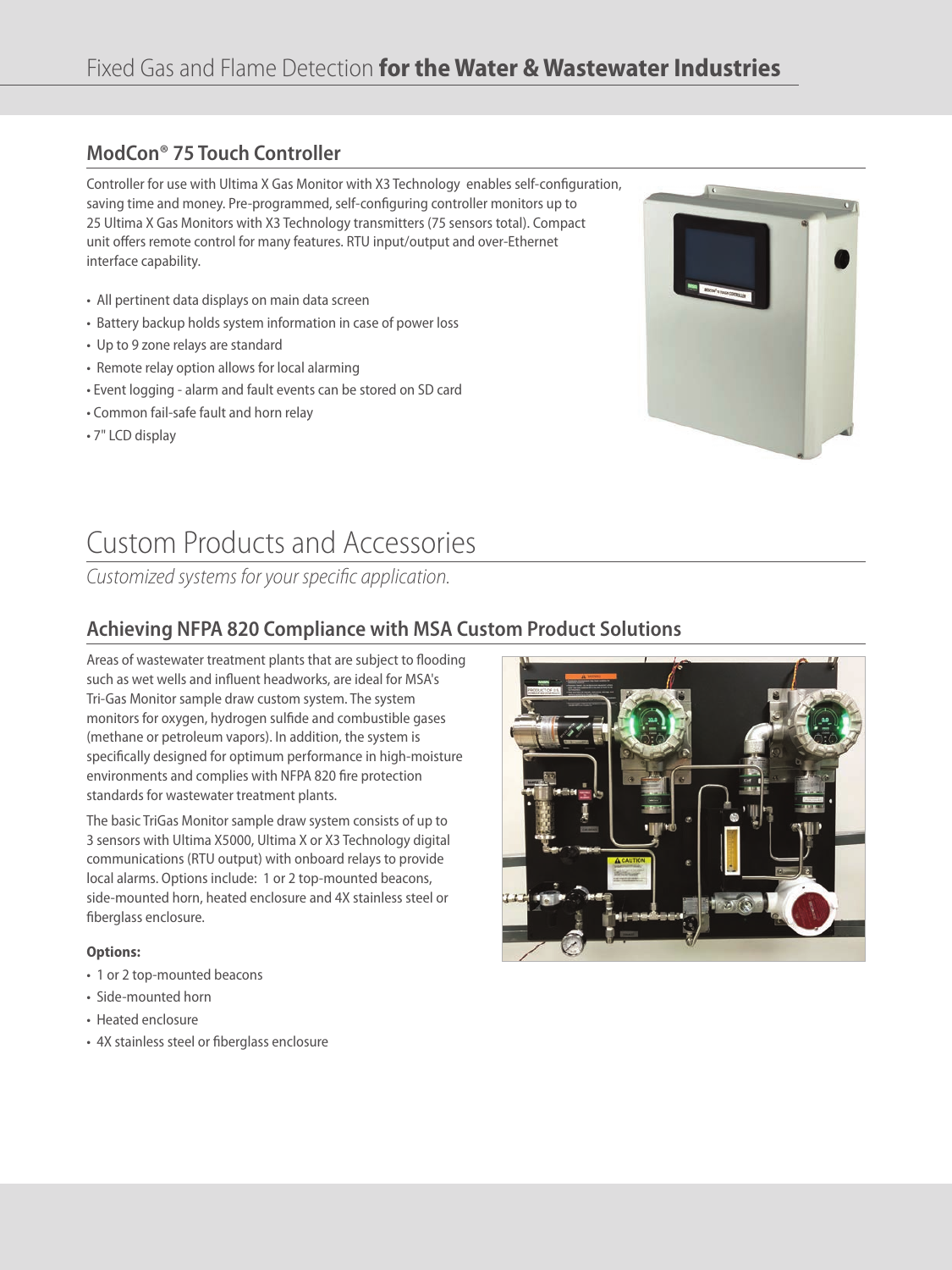# **ModCon® 75 Touch Controller**

Controller for use with Ultima X Gas Monitor with X3 Technology enables self-configuration, saving time and money. Pre-programmed, self-configuring controller monitors up to 25 Ultima X Gas Monitors with X3 Technology transmitters (75 sensors total). Compact unit offers remote control for many features. RTU input/output and over-Ethernet interface capability.

- All pertinent data displays on main data screen
- Battery backup holds system information in case of power loss
- Up to 9 zone relays are standard
- Remote relay option allows for local alarming
- Event logging alarm and fault events can be stored on SD card
- Common fail-safe fault and horn relay
- 7" LCD display



# Custom Products and Accessories

Customized systems for your specific application.

# **Achieving NFPA 820 Compliance with MSA Custom Product Solutions**

Areas of wastewater treatment plants that are subject to flooding such as wet wells and influent headworks, are ideal for MSA's Tri-Gas Monitor sample draw custom system. The system monitors for oxygen, hydrogen sulfide and combustible gases (methane or petroleum vapors). In addition, the system is specifically designed for optimum performance in high-moisture environments and complies with NFPA 820 fire protection standards for wastewater treatment plants.

The basic TriGas Monitor sample draw system consists of up to 3 sensors with Ultima X5000, Ultima X or X3 Technology digital communications (RTU output) with onboard relays to provide local alarms. Options include: 1 or 2 top-mounted beacons, side-mounted horn, heated enclosure and 4X stainless steel or fiberglass enclosure.

#### **options:**

- 1 or 2 top-mounted beacons
- Side-mounted horn
- Heated enclosure
- 4X stainless steel or fiberglass enclosure

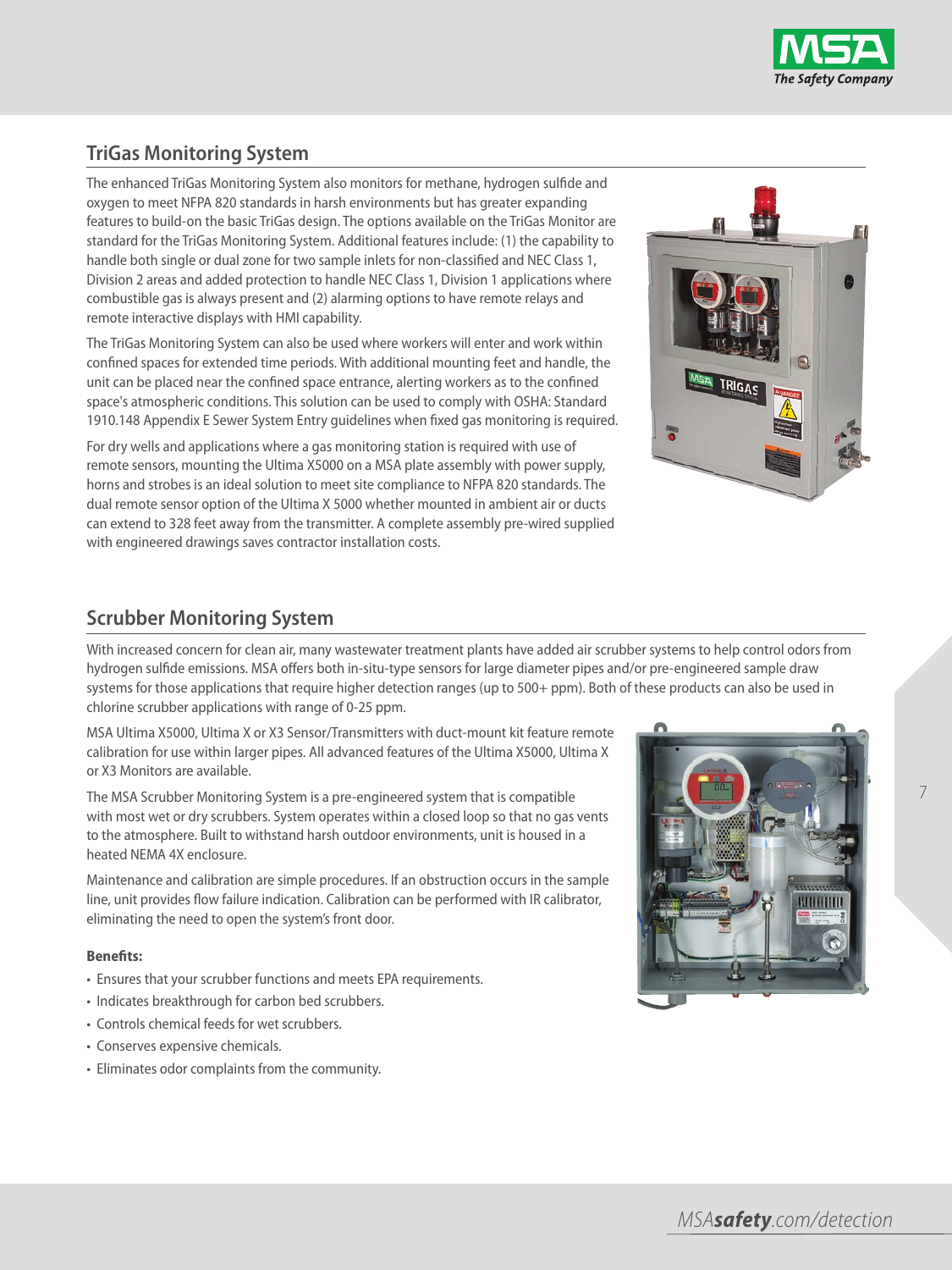

# **TriGas Monitoring System**

The enhanced TriGas Monitoring System also monitors for methane, hydrogen sulfide and oxygen to meet NFPA 820 standards in harsh environments but has greater expanding features to build-on the basic TriGas design. The options available on the TriGas Monitor are standard for the TriGas Monitoring System. Additional features include: (1) the capability to handle both single or dual zone for two sample inlets for non-classified and NEC Class 1, Division 2 areas and added protection to handle NEC Class 1, Division 1 applications where combustible gas is always present and (2) alarming options to have remote relays and remote interactive displays with HMI capability.

The TriGas Monitoring System can also be used where workers will enter and work within confined spaces for extended time periods. With additional mounting feet and handle, the unit can be placed near the confined space entrance, alerting workers as to the confined space's atmospheric conditions. This solution can be used to comply with OSHA: Standard 1910.148 Appendix E Sewer System Entry guidelines when fixed gas monitoring is required.

For dry wells and applications where a gas monitoring station is required with use of remote sensors, mounting the Ultima X5000 on a MSA plate assembly with power supply, horns and strobes is an ideal solution to meet site compliance to NFPA 820 standards. The dual remote sensor option of the Ultima X 5000 whether mounted in ambient air or ducts can extend to 328 feet away from the transmitter. A complete assembly pre-wired supplied with engineered drawings saves contractor installation costs.



### **Scrubber Monitoring System**

With increased concern for clean air, many wastewater treatment plants have added air scrubber systems to help control odors from hydrogen sulfide emissions. MSA offers both in-situ-type sensors for large diameter pipes and/or pre-engineered sample draw systems for those applications that require higher detection ranges (up to 500+ ppm). Both of these products can also be used in chlorine scrubber applications with range of 0-25 ppm.

MSA Ultima X5000, Ultima X or X3 Sensor/Transmitters with duct-mount kit feature remote calibration for use within larger pipes. All advanced features of the Ultima X5000, Ultima X or X3 Monitors are available.

The MSA Scrubber Monitoring System is a pre-engineered system that is compatible with most wet or dry scrubbers. System operates within a closed loop so that no gas vents to the atmosphere. Built to withstand harsh outdoor environments, unit is housed in a heated NEMA 4X enclosure.

Maintenance and calibration are simple procedures. If an obstruction occurs in the sample line, unit provides flow failure indication. Calibration can be performed with IR calibrator, eliminating the need to open the system's front door.

#### **benefits:**

- Ensures that your scrubber functions and meets EPA requirements.
- Indicates breakthrough for carbon bed scrubbers.
- Controls chemical feeds for wet scrubbers.
- Conserves expensive chemicals.
- Eliminates odor complaints from the community.



7